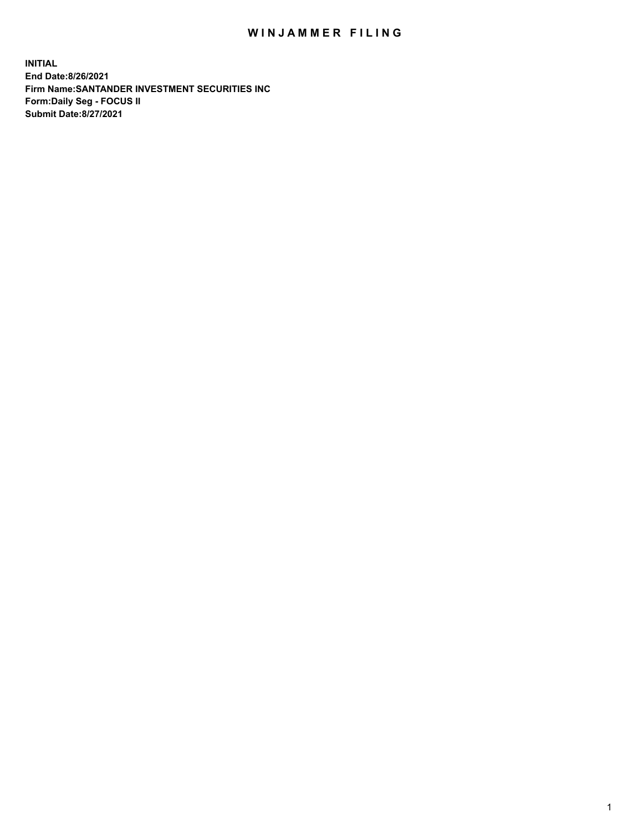## WIN JAMMER FILING

**INITIAL End Date:8/26/2021 Firm Name:SANTANDER INVESTMENT SECURITIES INC Form:Daily Seg - FOCUS II Submit Date:8/27/2021**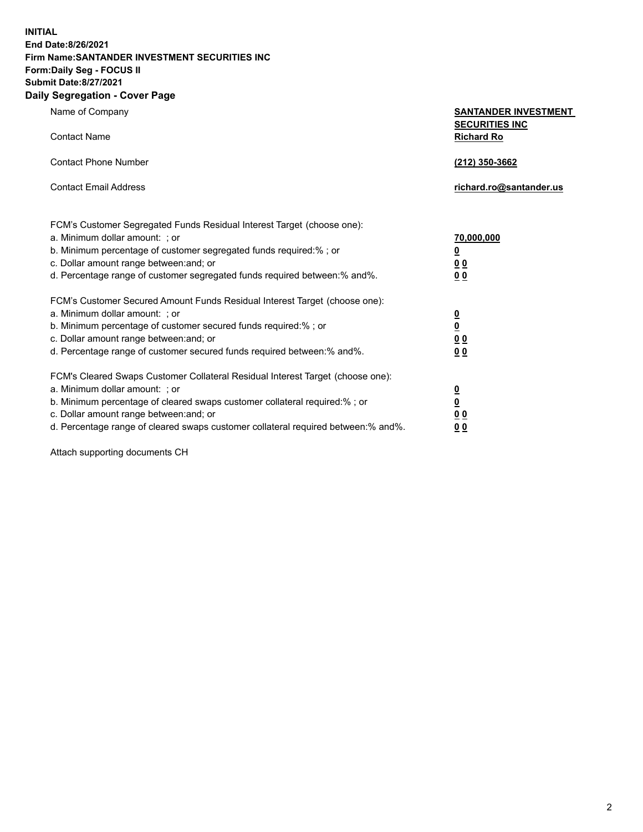**INITIAL End Date:8/26/2021 Firm Name:SANTANDER INVESTMENT SECURITIES INC Form:Daily Seg - FOCUS II Submit Date:8/27/2021 Daily Segregation - Cover Page**

| Name of Company<br><b>Contact Name</b>                                                                                                                                                                                                                                                                                         | <b>SANTANDER INVESTMENT</b><br><b>SECURITIES INC</b><br><b>Richard Ro</b> |
|--------------------------------------------------------------------------------------------------------------------------------------------------------------------------------------------------------------------------------------------------------------------------------------------------------------------------------|---------------------------------------------------------------------------|
| <b>Contact Phone Number</b>                                                                                                                                                                                                                                                                                                    | (212) 350-3662                                                            |
| <b>Contact Email Address</b>                                                                                                                                                                                                                                                                                                   | richard.ro@santander.us                                                   |
| FCM's Customer Segregated Funds Residual Interest Target (choose one):<br>a. Minimum dollar amount: ; or<br>b. Minimum percentage of customer segregated funds required:%; or<br>c. Dollar amount range between: and; or<br>d. Percentage range of customer segregated funds required between:% and%.                          | 70,000,000<br>$\underline{\mathbf{0}}$<br>0 <sub>0</sub><br>00            |
| FCM's Customer Secured Amount Funds Residual Interest Target (choose one):<br>a. Minimum dollar amount: ; or<br>b. Minimum percentage of customer secured funds required:% ; or<br>c. Dollar amount range between: and; or<br>d. Percentage range of customer secured funds required between:% and%.                           | $\frac{0}{0}$<br>$\underline{0} \underline{0}$<br>0 <sub>0</sub>          |
| FCM's Cleared Swaps Customer Collateral Residual Interest Target (choose one):<br>a. Minimum dollar amount: ; or<br>b. Minimum percentage of cleared swaps customer collateral required:% ; or<br>c. Dollar amount range between: and; or<br>d. Percentage range of cleared swaps customer collateral required between:% and%. | $\frac{0}{0}$<br>$\underline{0}$ $\underline{0}$<br>0 <sub>0</sub>        |

Attach supporting documents CH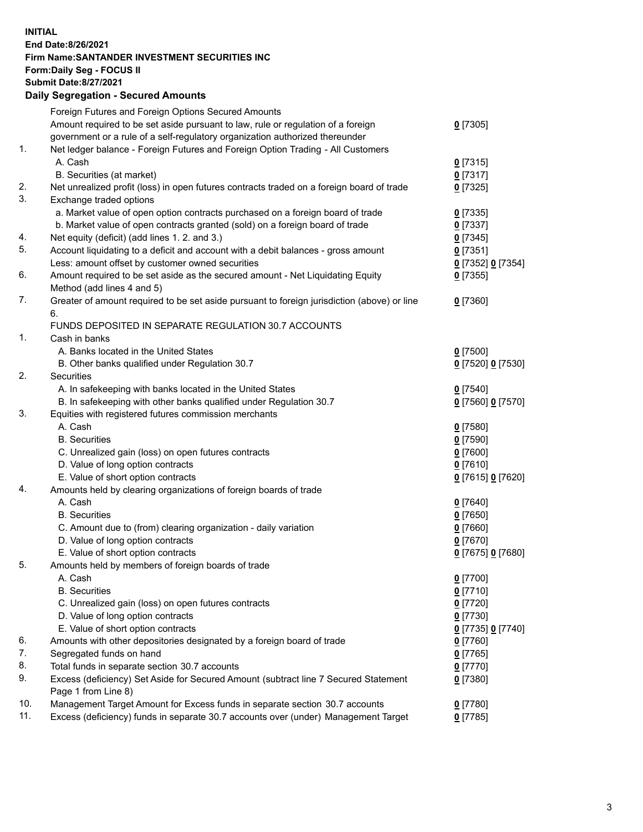**INITIAL End Date:8/26/2021 Firm Name:SANTANDER INVESTMENT SECURITIES INC Form:Daily Seg - FOCUS II Submit Date:8/27/2021 Daily Segregation - Secured Amounts**

|     | Foreign Futures and Foreign Options Secured Amounts                                         |                   |
|-----|---------------------------------------------------------------------------------------------|-------------------|
|     | Amount required to be set aside pursuant to law, rule or regulation of a foreign            | $0$ [7305]        |
|     | government or a rule of a self-regulatory organization authorized thereunder                |                   |
| 1.  | Net ledger balance - Foreign Futures and Foreign Option Trading - All Customers             |                   |
|     | A. Cash                                                                                     | $0$ [7315]        |
|     | B. Securities (at market)                                                                   | $0$ [7317]        |
| 2.  | Net unrealized profit (loss) in open futures contracts traded on a foreign board of trade   | $0$ [7325]        |
| 3.  | Exchange traded options                                                                     |                   |
|     | a. Market value of open option contracts purchased on a foreign board of trade              | $0$ [7335]        |
|     | b. Market value of open contracts granted (sold) on a foreign board of trade                | $0$ [7337]        |
| 4.  | Net equity (deficit) (add lines 1. 2. and 3.)                                               | $0$ [7345]        |
| 5.  | Account liquidating to a deficit and account with a debit balances - gross amount           | $0$ [7351]        |
|     | Less: amount offset by customer owned securities                                            | 0 [7352] 0 [7354] |
| 6.  | Amount required to be set aside as the secured amount - Net Liquidating Equity              | $0$ [7355]        |
|     | Method (add lines 4 and 5)                                                                  |                   |
| 7.  | Greater of amount required to be set aside pursuant to foreign jurisdiction (above) or line | $0$ [7360]        |
|     | 6.                                                                                          |                   |
|     | FUNDS DEPOSITED IN SEPARATE REGULATION 30.7 ACCOUNTS                                        |                   |
| 1.  | Cash in banks                                                                               |                   |
|     | A. Banks located in the United States                                                       | $0$ [7500]        |
|     | B. Other banks qualified under Regulation 30.7                                              | 0 [7520] 0 [7530] |
| 2.  | Securities                                                                                  |                   |
|     | A. In safekeeping with banks located in the United States                                   | $0$ [7540]        |
|     | B. In safekeeping with other banks qualified under Regulation 30.7                          | 0 [7560] 0 [7570] |
| 3.  | Equities with registered futures commission merchants                                       |                   |
|     | A. Cash                                                                                     | $0$ [7580]        |
|     | <b>B.</b> Securities                                                                        | $0$ [7590]        |
|     | C. Unrealized gain (loss) on open futures contracts                                         | $0$ [7600]        |
|     | D. Value of long option contracts                                                           | $0$ [7610]        |
|     | E. Value of short option contracts                                                          | 0 [7615] 0 [7620] |
| 4.  | Amounts held by clearing organizations of foreign boards of trade                           |                   |
|     | A. Cash                                                                                     | $0$ [7640]        |
|     | <b>B.</b> Securities                                                                        | $0$ [7650]        |
|     | C. Amount due to (from) clearing organization - daily variation                             | $0$ [7660]        |
|     | D. Value of long option contracts                                                           | $0$ [7670]        |
|     | E. Value of short option contracts                                                          | 0 [7675] 0 [7680] |
| 5.  | Amounts held by members of foreign boards of trade                                          |                   |
|     | A. Cash                                                                                     | 0 [7700]          |
|     | <b>B.</b> Securities                                                                        | $0$ [7710]        |
|     | C. Unrealized gain (loss) on open futures contracts                                         | $0$ [7720]        |
|     | D. Value of long option contracts                                                           | $0$ [7730]        |
|     | E. Value of short option contracts                                                          | 0 [7735] 0 [7740] |
| 6.  | Amounts with other depositories designated by a foreign board of trade                      | 0 [7760]          |
| 7.  | Segregated funds on hand                                                                    | $0$ [7765]        |
| 8.  | Total funds in separate section 30.7 accounts                                               | $0$ [7770]        |
| 9.  | Excess (deficiency) Set Aside for Secured Amount (subtract line 7 Secured Statement         | $0$ [7380]        |
|     | Page 1 from Line 8)                                                                         |                   |
| 10. | Management Target Amount for Excess funds in separate section 30.7 accounts                 | $0$ [7780]        |
| 11. | Excess (deficiency) funds in separate 30.7 accounts over (under) Management Target          | $0$ [7785]        |
|     |                                                                                             |                   |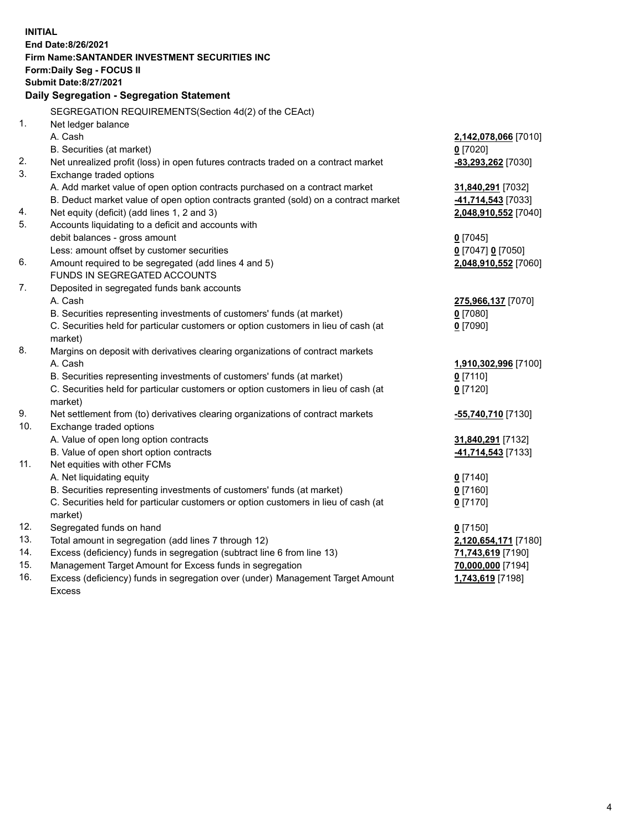| <b>INITIAL</b> |                                                                                           |                                    |  |  |  |  |
|----------------|-------------------------------------------------------------------------------------------|------------------------------------|--|--|--|--|
|                | End Date:8/26/2021                                                                        |                                    |  |  |  |  |
|                | Firm Name: SANTANDER INVESTMENT SECURITIES INC                                            |                                    |  |  |  |  |
|                | Form: Daily Seg - FOCUS II                                                                |                                    |  |  |  |  |
|                | <b>Submit Date:8/27/2021</b>                                                              |                                    |  |  |  |  |
|                | Daily Segregation - Segregation Statement                                                 |                                    |  |  |  |  |
|                | SEGREGATION REQUIREMENTS(Section 4d(2) of the CEAct)                                      |                                    |  |  |  |  |
| 1.             | Net ledger balance                                                                        |                                    |  |  |  |  |
|                | A. Cash                                                                                   | 2,142,078,066 [7010]               |  |  |  |  |
|                | B. Securities (at market)                                                                 | $0$ [7020]                         |  |  |  |  |
| 2.             | Net unrealized profit (loss) in open futures contracts traded on a contract market        | -83,293,262 [7030]                 |  |  |  |  |
| 3.             | Exchange traded options                                                                   |                                    |  |  |  |  |
|                | A. Add market value of open option contracts purchased on a contract market               | 31,840,291 [7032]                  |  |  |  |  |
|                | B. Deduct market value of open option contracts granted (sold) on a contract market       | -41,714,543 [7033]                 |  |  |  |  |
| 4.             | Net equity (deficit) (add lines 1, 2 and 3)                                               | 2,048,910,552 [7040]               |  |  |  |  |
| 5.             | Accounts liquidating to a deficit and accounts with                                       |                                    |  |  |  |  |
|                | debit balances - gross amount                                                             | $0$ [7045]                         |  |  |  |  |
|                | Less: amount offset by customer securities                                                | 0 [7047] 0 [7050]                  |  |  |  |  |
| 6.             | Amount required to be segregated (add lines 4 and 5)                                      | 2,048,910,552 [7060]               |  |  |  |  |
|                | FUNDS IN SEGREGATED ACCOUNTS                                                              |                                    |  |  |  |  |
| 7.             | Deposited in segregated funds bank accounts                                               |                                    |  |  |  |  |
|                | A. Cash                                                                                   | 275,966,137 [7070]                 |  |  |  |  |
|                | B. Securities representing investments of customers' funds (at market)                    | $0$ [7080]                         |  |  |  |  |
|                | C. Securities held for particular customers or option customers in lieu of cash (at       | $0$ [7090]                         |  |  |  |  |
| 8.             | market)                                                                                   |                                    |  |  |  |  |
|                | Margins on deposit with derivatives clearing organizations of contract markets<br>A. Cash |                                    |  |  |  |  |
|                | B. Securities representing investments of customers' funds (at market)                    | 1,910,302,996 [7100]<br>$0$ [7110] |  |  |  |  |
|                | C. Securities held for particular customers or option customers in lieu of cash (at       | $0$ [7120]                         |  |  |  |  |
|                | market)                                                                                   |                                    |  |  |  |  |
| 9.             | Net settlement from (to) derivatives clearing organizations of contract markets           | -55,740,710 [7130]                 |  |  |  |  |
| 10.            | Exchange traded options                                                                   |                                    |  |  |  |  |
|                | A. Value of open long option contracts                                                    | 31,840,291 [7132]                  |  |  |  |  |
|                | B. Value of open short option contracts                                                   | -41,714,543 [7133]                 |  |  |  |  |
| 11.            | Net equities with other FCMs                                                              |                                    |  |  |  |  |
|                | A. Net liquidating equity                                                                 | $0$ [7140]                         |  |  |  |  |
|                | B. Securities representing investments of customers' funds (at market)                    | $0$ [7160]                         |  |  |  |  |
|                | C. Securities held for particular customers or option customers in lieu of cash (at       | $0$ [7170]                         |  |  |  |  |
|                | market)                                                                                   |                                    |  |  |  |  |
| 12.            | Segregated funds on hand                                                                  | $0$ [7150]                         |  |  |  |  |
| 13.            | Total amount in segregation (add lines 7 through 12)                                      | 2,120,654,171 [7180]               |  |  |  |  |
| 14.            | Excess (deficiency) funds in segregation (subtract line 6 from line 13)                   | 71,743,619 [7190]                  |  |  |  |  |
| 15.            | Management Target Amount for Excess funds in segregation                                  | 70,000,000 [7194]                  |  |  |  |  |
| 16.            | Excess (deficiency) funds in segregation over (under) Management Target Amount            | 1,743,619 [7198]                   |  |  |  |  |
|                | <b>Excess</b>                                                                             |                                    |  |  |  |  |